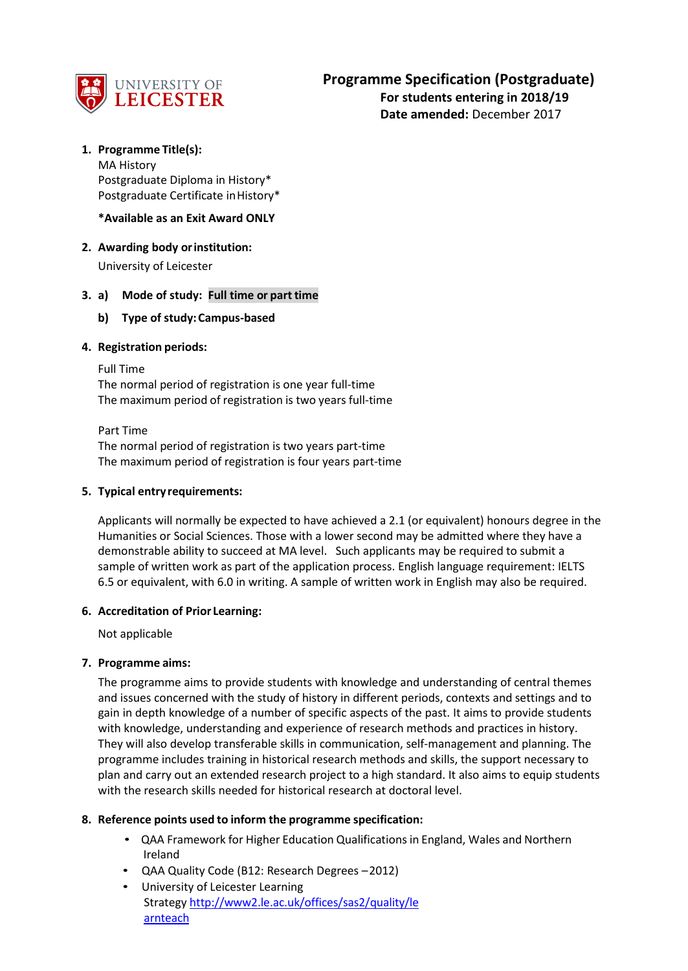

# **1. Programme Title(s):**

MA History Postgraduate Diploma in History\* Postgraduate Certificate in History\*

**\*Available as an Exit Award ONLY**

**2. Awarding body orinstitution:**

University of Leicester

### **3. a) Mode of study: Full time or part time**

### **b) Type of study:Campus-based**

## **4. Registration periods:**

#### Full Time

The normal period of registration is one year full-time The maximum period of registration is two years full-time

Part Time The normal period of registration is two years part-time The maximum period of registration is four years part-time

### **5. Typical entryrequirements:**

Applicants will normally be expected to have achieved a 2.1 (or equivalent) honours degree in the Humanities or Social Sciences. Those with a lower second may be admitted where they have a demonstrable ability to succeed at MA level. Such applicants may be required to submit a sample of written work as part of the application process. English language requirement: IELTS 6.5 or equivalent, with 6.0 in writing. A sample of written work in English may also be required.

### **6. Accreditation of Prior Learning:**

Not applicable

### **7. Programme aims:**

The programme aims to provide students with knowledge and understanding of central themes and issues concerned with the study of history in different periods, contexts and settings and to gain in depth knowledge of a number of specific aspects of the past. It aims to provide students with knowledge, understanding and experience of research methods and practices in history. They will also develop transferable skills in communication, self-management and planning. The programme includes training in historical research methods and skills, the support necessary to plan and carry out an extended research project to a high standard. It also aims to equip students with the research skills needed for historical research at doctoral level.

### **8. Reference points used to inform the programme specification:**

- QAA Framework for Higher Education Qualifications in England, Wales and Northern Ireland
- QAA Quality Code (B12: Research Degrees –2012)
- University of Leicester Learning Strateg[y http://www2.le.ac.uk/offices/sas2/quality/le](http://www2.le.ac.uk/offices/sas2/quality/learnteach) [arnteach](http://www2.le.ac.uk/offices/sas2/quality/learnteach)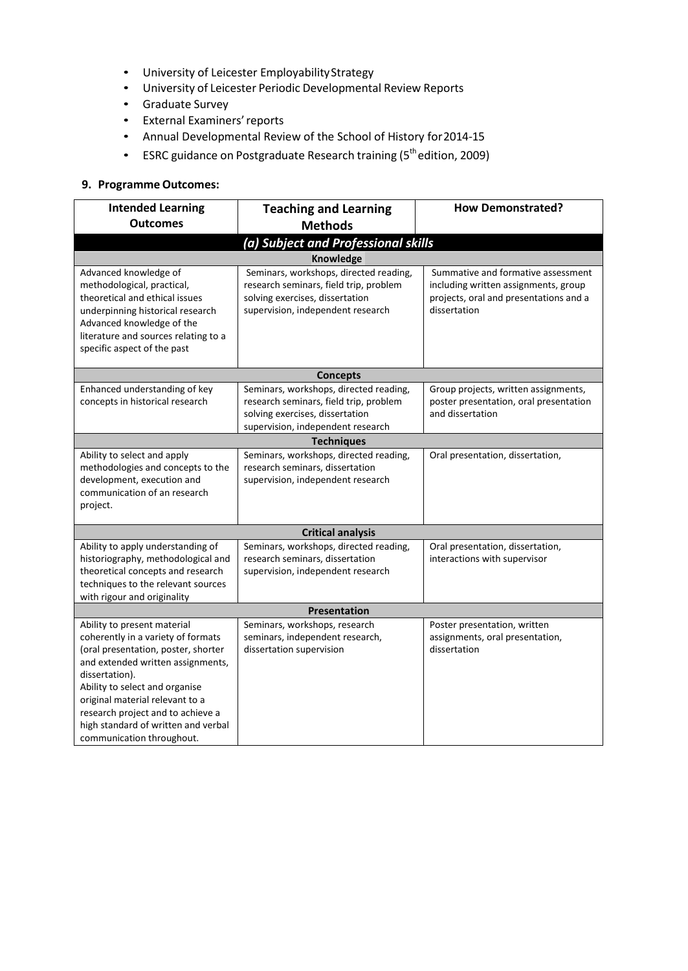- University of Leicester EmployabilityStrategy
- University of Leicester Periodic Developmental Review Reports
- Graduate Survey
- External Examiners'reports
- Annual Developmental Review of the School of History for2014-15
- ESRC guidance on Postgraduate Research training (5<sup>th</sup> edition, 2009)

# **9. Programme Outcomes:**

| <b>Intended Learning</b>                                                                                                                                                                                                                                                                                                                      | <b>Teaching and Learning</b>                                                                                                                             | <b>How Demonstrated?</b>                                                                                                             |  |  |  |  |
|-----------------------------------------------------------------------------------------------------------------------------------------------------------------------------------------------------------------------------------------------------------------------------------------------------------------------------------------------|----------------------------------------------------------------------------------------------------------------------------------------------------------|--------------------------------------------------------------------------------------------------------------------------------------|--|--|--|--|
| <b>Outcomes</b>                                                                                                                                                                                                                                                                                                                               | <b>Methods</b>                                                                                                                                           |                                                                                                                                      |  |  |  |  |
| (a) Subject and Professional skills                                                                                                                                                                                                                                                                                                           |                                                                                                                                                          |                                                                                                                                      |  |  |  |  |
| <b>Knowledge</b>                                                                                                                                                                                                                                                                                                                              |                                                                                                                                                          |                                                                                                                                      |  |  |  |  |
| Advanced knowledge of<br>methodological, practical,<br>theoretical and ethical issues<br>underpinning historical research<br>Advanced knowledge of the<br>literature and sources relating to a<br>specific aspect of the past                                                                                                                 | Seminars, workshops, directed reading,<br>research seminars, field trip, problem<br>solving exercises, dissertation<br>supervision, independent research | Summative and formative assessment<br>including written assignments, group<br>projects, oral and presentations and a<br>dissertation |  |  |  |  |
|                                                                                                                                                                                                                                                                                                                                               | <b>Concepts</b>                                                                                                                                          |                                                                                                                                      |  |  |  |  |
| Enhanced understanding of key<br>concepts in historical research                                                                                                                                                                                                                                                                              | Seminars, workshops, directed reading,<br>research seminars, field trip, problem<br>solving exercises, dissertation<br>supervision, independent research | Group projects, written assignments,<br>poster presentation, oral presentation<br>and dissertation                                   |  |  |  |  |
|                                                                                                                                                                                                                                                                                                                                               | <b>Techniques</b>                                                                                                                                        |                                                                                                                                      |  |  |  |  |
| Ability to select and apply<br>methodologies and concepts to the<br>development, execution and<br>communication of an research<br>project.                                                                                                                                                                                                    | Seminars, workshops, directed reading,<br>research seminars, dissertation<br>supervision, independent research                                           | Oral presentation, dissertation,                                                                                                     |  |  |  |  |
|                                                                                                                                                                                                                                                                                                                                               | <b>Critical analysis</b>                                                                                                                                 |                                                                                                                                      |  |  |  |  |
| Ability to apply understanding of<br>historiography, methodological and<br>theoretical concepts and research<br>techniques to the relevant sources<br>with rigour and originality                                                                                                                                                             | Seminars, workshops, directed reading,<br>research seminars, dissertation<br>supervision, independent research                                           | Oral presentation, dissertation,<br>interactions with supervisor                                                                     |  |  |  |  |
| Presentation                                                                                                                                                                                                                                                                                                                                  |                                                                                                                                                          |                                                                                                                                      |  |  |  |  |
| Ability to present material<br>coherently in a variety of formats<br>(oral presentation, poster, shorter<br>and extended written assignments,<br>dissertation).<br>Ability to select and organise<br>original material relevant to a<br>research project and to achieve a<br>high standard of written and verbal<br>communication throughout. | Seminars, workshops, research<br>seminars, independent research,<br>dissertation supervision                                                             | Poster presentation, written<br>assignments, oral presentation,<br>dissertation                                                      |  |  |  |  |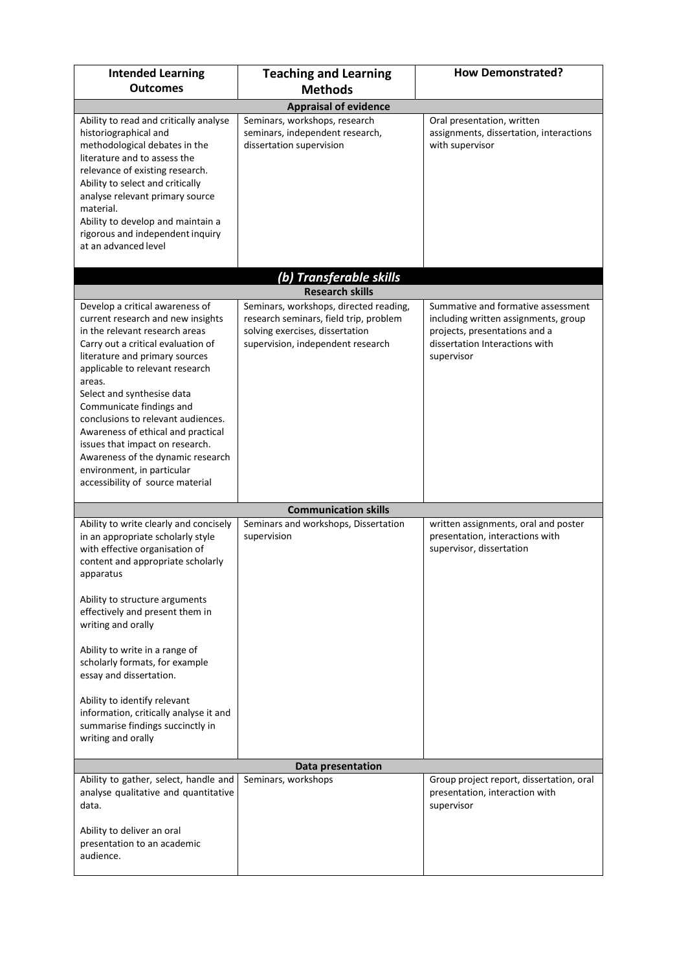| <b>Intended Learning</b><br><b>Outcomes</b>                                                                                                                                                                                                                                                                                                                                                                                                                                                                 | <b>Teaching and Learning</b>                                                                                                                             | <b>How Demonstrated?</b>                                                                                                                                    |  |  |
|-------------------------------------------------------------------------------------------------------------------------------------------------------------------------------------------------------------------------------------------------------------------------------------------------------------------------------------------------------------------------------------------------------------------------------------------------------------------------------------------------------------|----------------------------------------------------------------------------------------------------------------------------------------------------------|-------------------------------------------------------------------------------------------------------------------------------------------------------------|--|--|
| <b>Methods</b>                                                                                                                                                                                                                                                                                                                                                                                                                                                                                              |                                                                                                                                                          |                                                                                                                                                             |  |  |
| Ability to read and critically analyse<br>historiographical and<br>methodological debates in the<br>literature and to assess the<br>relevance of existing research.<br>Ability to select and critically<br>analyse relevant primary source<br>material.<br>Ability to develop and maintain a<br>rigorous and independent inquiry<br>at an advanced level                                                                                                                                                    | <b>Appraisal of evidence</b><br>Seminars, workshops, research<br>seminars, independent research,<br>dissertation supervision                             | Oral presentation, written<br>assignments, dissertation, interactions<br>with supervisor                                                                    |  |  |
|                                                                                                                                                                                                                                                                                                                                                                                                                                                                                                             |                                                                                                                                                          |                                                                                                                                                             |  |  |
|                                                                                                                                                                                                                                                                                                                                                                                                                                                                                                             | (b) Transferable skills<br><b>Research skills</b>                                                                                                        |                                                                                                                                                             |  |  |
| Develop a critical awareness of<br>current research and new insights<br>in the relevant research areas<br>Carry out a critical evaluation of<br>literature and primary sources<br>applicable to relevant research<br>areas.<br>Select and synthesise data<br>Communicate findings and<br>conclusions to relevant audiences.<br>Awareness of ethical and practical<br>issues that impact on research.<br>Awareness of the dynamic research<br>environment, in particular<br>accessibility of source material | Seminars, workshops, directed reading,<br>research seminars, field trip, problem<br>solving exercises, dissertation<br>supervision, independent research | Summative and formative assessment<br>including written assignments, group<br>projects, presentations and a<br>dissertation Interactions with<br>supervisor |  |  |
|                                                                                                                                                                                                                                                                                                                                                                                                                                                                                                             | <b>Communication skills</b>                                                                                                                              |                                                                                                                                                             |  |  |
| Ability to write clearly and concisely<br>in an appropriate scholarly style<br>with effective organisation of<br>content and appropriate scholarly<br>apparatus<br>Ability to structure arguments<br>effectively and present them in<br>writing and orally<br>Ability to write in a range of<br>scholarly formats, for example<br>essay and dissertation.<br>Ability to identify relevant                                                                                                                   | Seminars and workshops, Dissertation<br>supervision                                                                                                      | written assignments, oral and poster<br>presentation, interactions with<br>supervisor, dissertation                                                         |  |  |
| information, critically analyse it and<br>summarise findings succinctly in<br>writing and orally                                                                                                                                                                                                                                                                                                                                                                                                            |                                                                                                                                                          |                                                                                                                                                             |  |  |
|                                                                                                                                                                                                                                                                                                                                                                                                                                                                                                             | Data presentation                                                                                                                                        |                                                                                                                                                             |  |  |
| Ability to gather, select, handle and<br>analyse qualitative and quantitative<br>data.<br>Ability to deliver an oral<br>presentation to an academic<br>audience.                                                                                                                                                                                                                                                                                                                                            | Seminars, workshops                                                                                                                                      | Group project report, dissertation, oral<br>presentation, interaction with<br>supervisor                                                                    |  |  |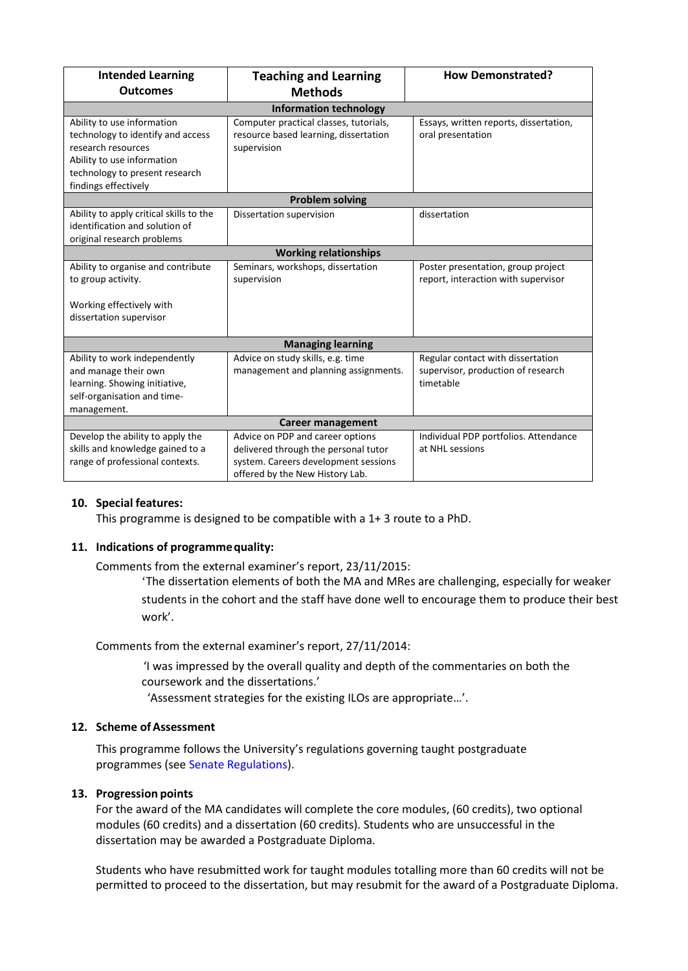| <b>Intended Learning</b><br><b>Outcomes</b>                                                                                                                                   | <b>Teaching and Learning</b><br><b>Methods</b>                                                                                                      | <b>How Demonstrated?</b>                                                             |  |  |  |  |
|-------------------------------------------------------------------------------------------------------------------------------------------------------------------------------|-----------------------------------------------------------------------------------------------------------------------------------------------------|--------------------------------------------------------------------------------------|--|--|--|--|
| <b>Information technology</b>                                                                                                                                                 |                                                                                                                                                     |                                                                                      |  |  |  |  |
| Ability to use information<br>technology to identify and access<br>research resources<br>Ability to use information<br>technology to present research<br>findings effectively | Computer practical classes, tutorials,<br>resource based learning, dissertation<br>supervision                                                      | Essays, written reports, dissertation,<br>oral presentation                          |  |  |  |  |
| <b>Problem solving</b>                                                                                                                                                        |                                                                                                                                                     |                                                                                      |  |  |  |  |
| Ability to apply critical skills to the<br>identification and solution of<br>original research problems                                                                       | Dissertation supervision                                                                                                                            | dissertation                                                                         |  |  |  |  |
| <b>Working relationships</b>                                                                                                                                                  |                                                                                                                                                     |                                                                                      |  |  |  |  |
| Ability to organise and contribute<br>to group activity.<br>Working effectively with                                                                                          | Seminars, workshops, dissertation<br>supervision                                                                                                    | Poster presentation, group project<br>report, interaction with supervisor            |  |  |  |  |
| dissertation supervisor                                                                                                                                                       |                                                                                                                                                     |                                                                                      |  |  |  |  |
| <b>Managing learning</b>                                                                                                                                                      |                                                                                                                                                     |                                                                                      |  |  |  |  |
| Ability to work independently<br>and manage their own<br>learning. Showing initiative,<br>self-organisation and time-<br>management.                                          | Advice on study skills, e.g. time<br>management and planning assignments.                                                                           | Regular contact with dissertation<br>supervisor, production of research<br>timetable |  |  |  |  |
| Career management                                                                                                                                                             |                                                                                                                                                     |                                                                                      |  |  |  |  |
| Develop the ability to apply the<br>skills and knowledge gained to a<br>range of professional contexts.                                                                       | Advice on PDP and career options<br>delivered through the personal tutor<br>system. Careers development sessions<br>offered by the New History Lab. | Individual PDP portfolios. Attendance<br>at NHL sessions                             |  |  |  |  |

# **10. Special features:**

This programme is designed to be compatible with a 1+ 3 route to a PhD.

### **11. Indications of programmequality:**

Comments from the external examiner's report, 23/11/2015:

'The dissertation elements of both the MA and MRes are challenging, especially for weaker students in the cohort and the staff have done well to encourage them to produce their best work'.

Comments from the external examiner's report, 27/11/2014:

'I was impressed by the overall quality and depth of the commentaries on both the coursework and the dissertations.'

'Assessment strategies for the existing ILOs are appropriate…'.

### 12. **Scheme of Assessment**

This programme follows the University's regulations governing taught postgraduate programmes (see Senate Regulations).

### **13. Progression points**

For the award of the MA candidates will complete the core modules, (60 credits), two optional modules (60 credits) and a dissertation (60 credits). Students who are unsuccessful in the dissertation may be awarded a Postgraduate Diploma.

Students who have resubmitted work for taught modules totalling more than 60 credits will not be permitted to proceed to the dissertation, but may resubmit for the award of a Postgraduate Diploma.